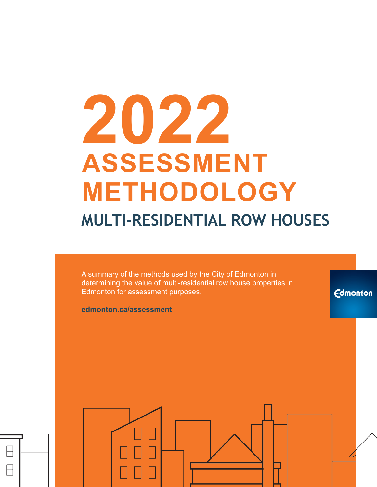# **2022 ASSESSMENT METHODOLOGY MULTI-RESIDENTIAL ROW HOUSES**

A summary of the methods used by the City of Edmonton in determining the value of multi-residential row house properties in Edmonton for assessment purposes.

**Edmonton** 

**edmonton.ca/assessment**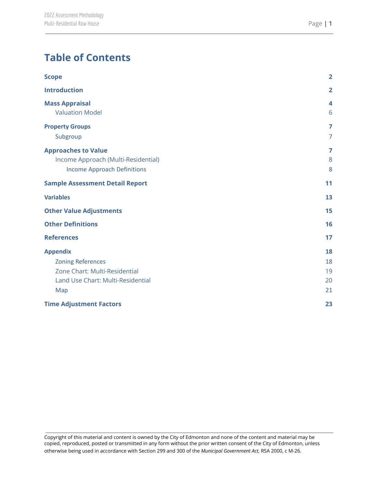| <b>Scope</b>                                    | $\overline{2}$ |
|-------------------------------------------------|----------------|
| <b>Introduction</b>                             | $\overline{2}$ |
| <b>Mass Appraisal</b><br><b>Valuation Model</b> | 4<br>6         |
|                                                 |                |
| <b>Property Groups</b>                          | $\overline{7}$ |
| Subgroup                                        | $\overline{7}$ |
| <b>Approaches to Value</b>                      | 7              |
| Income Approach (Multi-Residential)             | 8              |
| <b>Income Approach Definitions</b>              | 8              |
| <b>Sample Assessment Detail Report</b>          | 11             |
| <b>Variables</b>                                | 13             |
| <b>Other Value Adjustments</b>                  | 15             |
| <b>Other Definitions</b>                        | 16             |
| <b>References</b>                               | 17             |
| <b>Appendix</b>                                 | 18             |
| <b>Zoning References</b>                        | 18             |
| Zone Chart: Multi-Residential                   | 19             |
| Land Use Chart: Multi-Residential               | 20             |
| Map                                             | 21             |
| <b>Time Adjustment Factors</b>                  | 23             |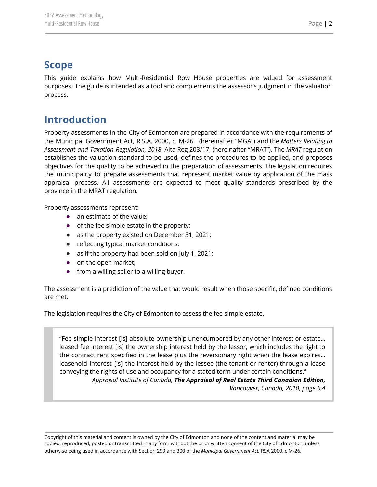## <span id="page-2-0"></span>**Scope**

This guide explains how Multi-Residential Row House properties are valued for assessment purposes. The guide is intended as a tool and complements the assessor's judgment in the valuation process.

# <span id="page-2-1"></span>**Introduction**

Property assessments in the City of Edmonton are prepared in accordance with the requirements of the Municipal Government Act, R.S.A. 2000, c. M-26, (hereinafter "MGA") and the *Matters Relating to Assessment and Taxation Regulation, 2018*, Alta Reg 203/17, (hereinafter "MRAT"). The *MRAT* regulation establishes the valuation standard to be used, defines the procedures to be applied, and proposes objectives for the quality to be achieved in the preparation of assessments. The legislation requires the municipality to prepare assessments that represent market value by application of the mass appraisal process. All assessments are expected to meet quality standards prescribed by the province in the MRAT regulation.

Property assessments represent:

- an estimate of the value;
- of the fee simple estate in the property;
- as the property existed on December 31, 2021;
- reflecting typical market conditions;
- as if the property had been sold on July 1, 2021;
- on the open market;
- from a willing seller to a willing buyer.

The assessment is a prediction of the value that would result when those specific, defined conditions are met.

The legislation requires the City of Edmonton to assess the fee simple estate.

"Fee simple interest [is] absolute ownership unencumbered by any other interest or estate… leased fee interest [is] the ownership interest held by the lessor, which includes the right to the contract rent specified in the lease plus the reversionary right when the lease expires… leasehold interest [is] the interest held by the lessee (the tenant or renter) through a lease conveying the rights of use and occupancy for a stated term under certain conditions." *Appraisal Institute of Canada, The Appraisal of Real Estate Third Canadian Edition,*

*Vancouver, Canada, 2010, page 6.4*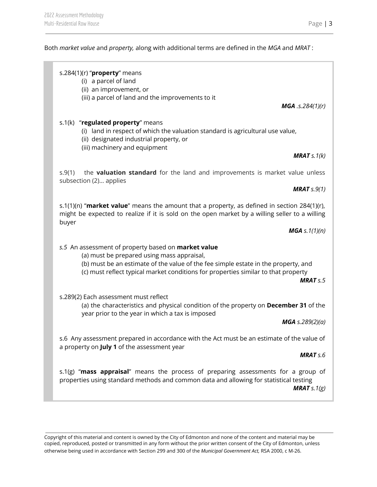#### Both *market value* and *property,* along with additional terms are defined in the *MGA* and *MRAT* :

## s.284(1)(r) "**property**" means (i) a parcel of land (ii) an improvement, or (iii) a parcel of land and the improvements to it *MGA .s.284(1)(r)* s.1(k) "**regulated property**" means (i) land in respect of which the valuation standard is agricultural use value, (ii) designated industrial property, or (iii) machinery and equipment *MRAT s.1(k)* s.9(1) the **valuation standard** for the land and improvements is market value unless subsection (2)… applies *MRAT s.9(1)* buyer *MGA s.1(1)(n) s.5* An assessment of property based on **market value** (a) must be prepared using mass appraisal, (b) must be an estimate of the value of the fee simple estate in the property, and (c) must reflect typical market conditions for properties similar to that property *MRAT s.5* s.289(2) Each assessment must reflect (a) the characteristics and physical condition of the property on **December 31** of the year prior to the year in which a tax is imposed *MGA s.289(2)(a)* s.6 Any assessment prepared in accordance with the Act must be an estimate of the value of a property on **July 1** of the assessment year *MRAT s.6* s.1(g) "**mass appraisal**" means the process of preparing assessments for a group of properties using standard methods and common data and allowing for statistical testing *MRAT s.1(g)*

Copyright of this material and content is owned by the City of Edmonton and none of the content and material may be copied, reproduced, posted or transmitted in any form without the prior written consent of the City of Edmonton, unless otherwise being used in accordance with Section 299 and 300 of the *Municipal Government Act,* RSA 2000, c M-26.

s.1(1)(n) "**market value**" means the amount that a property, as defined in section 284(1)(r), might be expected to realize if it is sold on the open market by a willing seller to a willing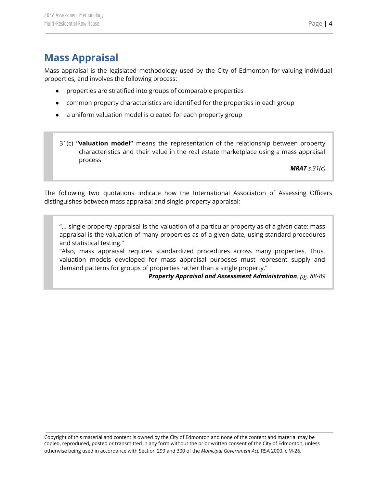# <span id="page-4-0"></span>**Mass Appraisal**

Mass appraisal is the legislated methodology used by the City of Edmonton for valuing individual properties, and involves the following process:

- properties are stratified into groups of comparable properties
- common property characteristics are identified for the properties in each group
- a uniform valuation model is created for each property group
- 31(c) **"valuation model"** means the representation of the relationship between property characteristics and their value in the real estate marketplace using a mass appraisal process

*MRAT s.31(c)*

The following two quotations indicate how the International Association of Assessing Officers distinguishes between mass appraisal and single-property appraisal:

"... single-property appraisal is the valuation of a particular property as of a given date: mass appraisal is the valuation of many properties as of a given date, using standard procedures and statistical testing."

"Also, mass appraisal requires standardized procedures across many properties. Thus, valuation models developed for mass appraisal purposes must represent supply and demand patterns for groups of properties rather than a single property."

*Property Appraisal and Assessment Administration, pg. 88-89*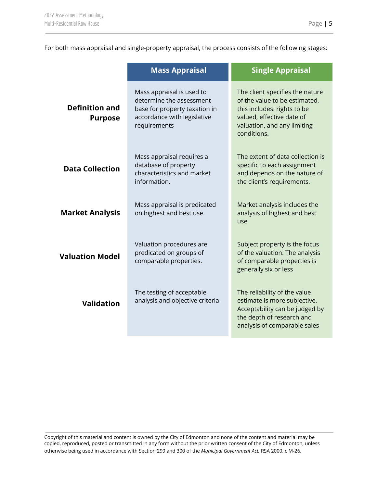For both mass appraisal and single-property appraisal, the process consists of the following stages:

|                                         | <b>Mass Appraisal</b>                                                                                                                 | <b>Single Appraisal</b>                                                                                                                                                                                                                                                                                                    |  |
|-----------------------------------------|---------------------------------------------------------------------------------------------------------------------------------------|----------------------------------------------------------------------------------------------------------------------------------------------------------------------------------------------------------------------------------------------------------------------------------------------------------------------------|--|
| <b>Definition and</b><br><b>Purpose</b> | Mass appraisal is used to<br>determine the assessment<br>base for property taxation in<br>accordance with legislative<br>requirements | The client specifies the nature<br>of the value to be estimated,<br>this includes: rights to be<br>valued, effective date of<br>valuation, and any limiting<br>conditions.                                                                                                                                                 |  |
| <b>Data Collection</b>                  | Mass appraisal requires a<br>database of property<br>characteristics and market<br>information.                                       | specific to each assignment<br>and depends on the nature of<br>the client's requirements.                                                                                                                                                                                                                                  |  |
| <b>Market Analysis</b>                  | Mass appraisal is predicated<br>on highest and best use.                                                                              | Market analysis includes the<br>analysis of highest and best<br>use                                                                                                                                                                                                                                                        |  |
| <b>Valuation Model</b>                  | Valuation procedures are<br>predicated on groups of<br>comparable properties.                                                         | The extent of data collection is<br>Subject property is the focus<br>of the valuation. The analysis<br>of comparable properties is<br>generally six or less<br>The reliability of the value<br>estimate is more subjective.<br>Acceptability can be judged by<br>the depth of research and<br>analysis of comparable sales |  |
| <b>Validation</b>                       | The testing of acceptable<br>analysis and objective criteria                                                                          |                                                                                                                                                                                                                                                                                                                            |  |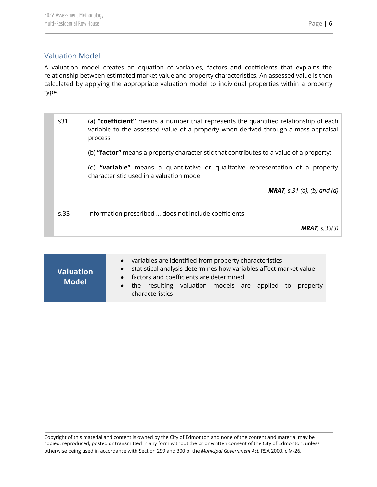## <span id="page-6-0"></span>Valuation Model

A valuation model creates an equation of variables, factors and coefficients that explains the relationship between estimated market value and property characteristics. An assessed value is then calculated by applying the appropriate valuation model to individual properties within a property type.

s31 (a) **"coefficient"** means a number that represents the quantified relationship of each variable to the assessed value of a property when derived through a mass appraisal process (b) **"factor"** means a property characteristic that contributes to a value of a property; (d) **"variable"** means a quantitative or qualitative representation of a property characteristic used in a valuation model *MRAT, s.31 (a), (b) and (d)* s.33 Information prescribed … does not include coefficients *MRAT, s.33(3)*

| <b>Valuation</b><br><b>Model</b> | • variables are identified from property characteristics<br>• statistical analysis determines how variables affect market value<br>• factors and coefficients are determined<br>• the resulting valuation models are applied to property<br>characteristics |
|----------------------------------|-------------------------------------------------------------------------------------------------------------------------------------------------------------------------------------------------------------------------------------------------------------|
|----------------------------------|-------------------------------------------------------------------------------------------------------------------------------------------------------------------------------------------------------------------------------------------------------------|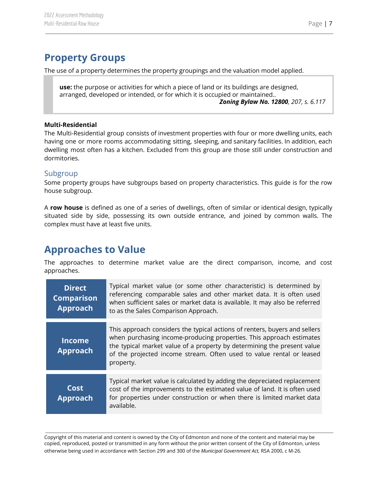# <span id="page-7-0"></span>**Property Groups**

The use of a property determines the property groupings and the valuation model applied.

**use:** the purpose or activities for which a piece of land or its buildings are designed, arranged, developed or intended, or for which it is occupied or maintained.. *Zoning Bylaw No. 12800, 207, s. 6.117*

#### **Multi-Residential**

The Multi-Residential group consists of investment properties with four or more dwelling units, each having one or more rooms accommodating sitting, sleeping, and sanitary facilities. In addition, each dwelling most often has a kitchen. Excluded from this group are those still under construction and dormitories.

### <span id="page-7-1"></span>Subgroup

Some property groups have subgroups based on property characteristics. This guide is for the row house subgroup.

A **row house** is defined as one of a series of dwellings, often of similar or identical design, typically situated side by side, possessing its own outside entrance, and joined by common walls. The complex must have at least five units.

## <span id="page-7-2"></span>**Approaches to Value**

The approaches to determine market value are the direct comparison, income, and cost approaches.

| <b>Direct</b><br><b>Comparison</b><br><b>Approach</b> | Typical market value (or some other characteristic) is determined by<br>referencing comparable sales and other market data. It is often used<br>when sufficient sales or market data is available. It may also be referred<br>to as the Sales Comparison Approach.                                                 |
|-------------------------------------------------------|--------------------------------------------------------------------------------------------------------------------------------------------------------------------------------------------------------------------------------------------------------------------------------------------------------------------|
| <b>Income</b><br><b>Approach</b>                      | This approach considers the typical actions of renters, buyers and sellers<br>when purchasing income-producing properties. This approach estimates<br>the typical market value of a property by determining the present value<br>of the projected income stream. Often used to value rental or leased<br>property. |
| Cost<br><b>Approach</b>                               | Typical market value is calculated by adding the depreciated replacement<br>cost of the improvements to the estimated value of land. It is often used<br>for properties under construction or when there is limited market data<br>available.                                                                      |

Copyright of this material and content is owned by the City of Edmonton and none of the content and material may be copied, reproduced, posted or transmitted in any form without the prior written consent of the City of Edmonton, unless otherwise being used in accordance with Section 299 and 300 of the *Municipal Government Act,* RSA 2000, c M-26.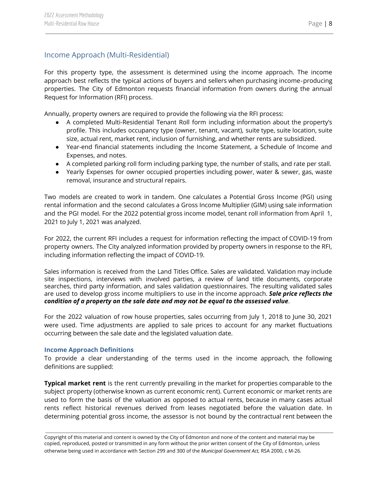## <span id="page-8-0"></span>Income Approach (Multi-Residential)

For this property type, the assessment is determined using the income approach. The income approach best reflects the typical actions of buyers and sellers when purchasing income‐producing properties. The City of Edmonton requests financial information from owners during the annual Request for Information (RFI) process.

Annually, property owners are required to provide the following via the RFI process:

- A completed Multi-Residential Tenant Roll form including information about the property's profile. This includes occupancy type (owner, tenant, vacant), suite type, suite location, suite size, actual rent, market rent, inclusion of furnishing, and whether rents are subsidized.
- Year-end financial statements including the Income Statement, a Schedule of Income and Expenses, and notes.
- A completed parking roll form including parking type, the number of stalls, and rate per stall.
- Yearly Expenses for owner occupied properties including power, water & sewer, gas, waste removal, insurance and structural repairs.

Two models are created to work in tandem. One calculates a Potential Gross Income (PGI) using rental information and the second calculates a Gross Income Multiplier (GIM) using sale information and the PGI model. For the 2022 potential gross income model, tenant roll information from April 1, 2021 to July 1, 2021 was analyzed.

For 2022, the current RFI includes a request for information reflecting the impact of COVID-19 from property owners. The City analyzed information provided by property owners in response to the RFI, including information reflecting the impact of COVID-19.

Sales information is received from the Land Titles Office. Sales are validated. Validation may include site inspections, interviews with involved parties, a review of land title documents, corporate searches, third party information, and sales validation questionnaires. The resulting validated sales are used to develop gross income multipliers to use in the income approach. *Sale price reflects the condition of a property on the sale date and may not be equal to the assessed value*.

For the 2022 valuation of row house properties, sales occurring from July 1, 2018 to June 30, 2021 were used. Time adjustments are applied to sale prices to account for any market fluctuations occurring between the sale date and the legislated valuation date.

#### <span id="page-8-1"></span>**Income Approach Definitions**

To provide a clear understanding of the terms used in the income approach, the following definitions are supplied:

**Typical market rent** is the rent currently prevailing in the market for properties comparable to the subject property (otherwise known as current economic rent). Current economic or market rents are used to form the basis of the valuation as opposed to actual rents, because in many cases actual rents reflect historical revenues derived from leases negotiated before the valuation date. In determining potential gross income, the assessor is not bound by the contractual rent between the

Copyright of this material and content is owned by the City of Edmonton and none of the content and material may be copied, reproduced, posted or transmitted in any form without the prior written consent of the City of Edmonton, unless otherwise being used in accordance with Section 299 and 300 of the *Municipal Government Act,* RSA 2000, c M-26.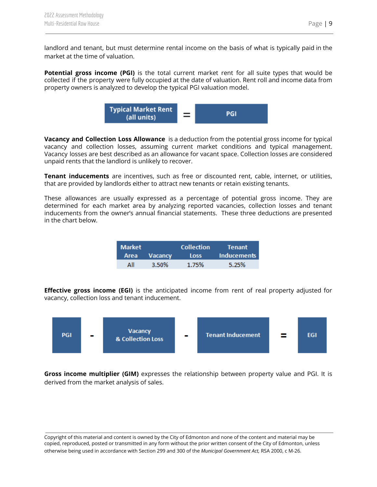**Potential gross income (PGI)** is the total current market rent for all suite types that would be collected if the property were fully occupied at the date of valuation. Rent roll and income data from property owners is analyzed to develop the typical PGI valuation model.



**Vacancy and Collection Loss Allowance** is a deduction from the potential gross income for typical vacancy and collection losses, assuming current market conditions and typical management. Vacancy losses are best described as an allowance for vacant space. Collection losses are considered unpaid rents that the landlord is unlikely to recover.

**Tenant inducements** are incentives, such as free or discounted rent, cable, internet, or utilities, that are provided by landlords either to attract new tenants or retain existing tenants.

These allowances are usually expressed as a percentage of potential gross income. They are determined for each market area by analyzing reported vacancies, collection losses and tenant inducements from the owner's annual financial statements. These three deductions are presented in the chart below.

| <b>Market</b> |              | <b>Collection</b> | Tenant             |
|---------------|--------------|-------------------|--------------------|
|               | Area Vacancy | <b>Loss</b>       | <b>Inducements</b> |
| ΔIΙ           | 3.50%        | 1.75%             | 5.25%              |

**Effective gross income (EGI)** is the anticipated income from rent of real property adjusted for vacancy, collection loss and tenant inducement.



**Gross income multiplier (GIM)** expresses the relationship between property value and PGI. It is derived from the market analysis of sales.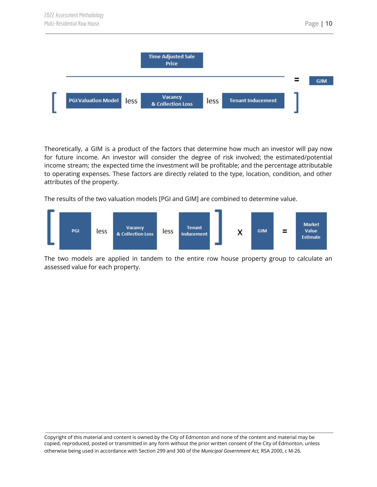

Theoretically, a GIM is a product of the factors that determine how much an investor will pay now for future income. An investor will consider the degree of risk involved; the estimated/potential income stream; the expected time the investment will be profitable; and the percentage attributable to operating expenses. These factors are directly related to the type, location, condition, and other attributes of the property.

The results of the two valuation models [PGI and GIM] are combined to determine value.



The two models are applied in tandem to the entire row house property group to calculate an assessed value for each property.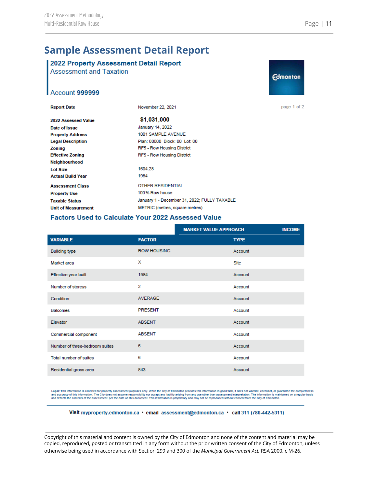# <span id="page-11-0"></span>**Sample Assessment Detail Report**

#### 2022 Property Assessment Detail Report **Assessment and Taxation**



page 1 of 2

#### Account 999999

| <b>Report Date</b>         | November 22, 2021                            |
|----------------------------|----------------------------------------------|
| 2022 Assessed Value        | \$1.031,000                                  |
| Date of Issue              | January 14, 2022                             |
| <b>Property Address</b>    | 1001 SAMPLE AVENUE                           |
| <b>Legal Description</b>   | Plan: 00000 Block: 00 Lot: 00                |
| <b>Zoning</b>              | <b>RF5 - Row Housing District</b>            |
| <b>Effective Zoning</b>    | RF5 - Row Housing District                   |
| Neighbourhood              |                                              |
| <b>Lot Size</b>            | 1604 28                                      |
| <b>Actual Build Year</b>   | 1984                                         |
| <b>Assessment Class</b>    | <b>OTHER RESIDENTIAL</b>                     |
| <b>Property Use</b>        | 100% Row house                               |
| <b>Taxable Status</b>      | January 1 - December 31, 2022; FULLY TAXABLE |
| <b>Unit of Measurement</b> | METRIC (metres, square metres)               |

#### **Factors Used to Calculate Your 2022 Assessed Value**

|                                |                    | <b>MARKET VALUE APPROACH</b> | <b>INCOME</b> |
|--------------------------------|--------------------|------------------------------|---------------|
| <b>VARIABLE</b>                | <b>FACTOR</b>      | <b>TYPE</b>                  |               |
| <b>Building type</b>           | <b>ROW HOUSING</b> | Account                      |               |
| Market area                    | X                  | Site                         |               |
| Effective year built           | 1984               | Account                      |               |
| Number of storeys              | $\overline{2}$     | Account                      |               |
| Condition                      | AVERAGE            | Account                      |               |
| <b>Balconies</b>               | <b>PRESENT</b>     | Account                      |               |
| Elevator                       | <b>ABSENT</b>      | Account                      |               |
| Commercial component           | <b>ABSENT</b>      | Account                      |               |
| Number of three-bedroom suites | 6                  | Account                      |               |
| Total number of suites         | 6                  | Account                      |               |
| Residential gross area         | 843                | Account                      |               |

Legal: This information is collected for property assessment purposes only. While the City of Edmonton provides this information in good falth, it does not warrant, covenant, or guarantee the completeness<br>and accuracy of t

#### Visit myproperty.edmonton.ca · email assessment@edmonton.ca · call 311 (780-442-5311)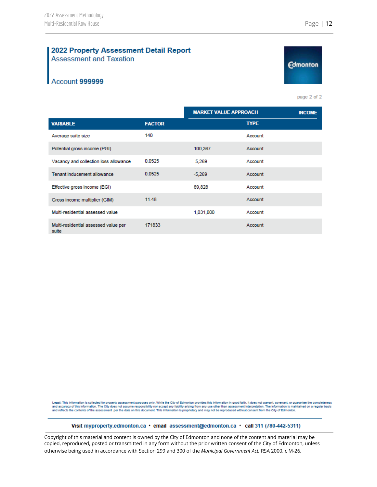#### 2022 Property Assessment Detail Report **Assessment and Taxation**

## Account 999999

Legal: This information is collected for property assessment purposes only. While the City of Edmonton provides this information in good faith, it does not warrant, covenant, or guarantee the completeness<br>and accuracy of t and reflects the contents of the assessment per the date on this document. This information is proprietary and may not be reproduced without consent from the City of Edmonton.

#### Visit myproperty.edmonton.ca · email assessment@edmonton.ca · call 311 (780-442-5311)

Copyright of this material and content is owned by the City of Edmonton and none of the content and material may be copied, reproduced, posted or transmitted in any form without the prior written consent of the City of Edmonton, unless otherwise being used in accordance with Section 299 and 300 of the *Municipal Government Act,* RSA 2000, c M-26.



**Edmonton** 

page 2 of 2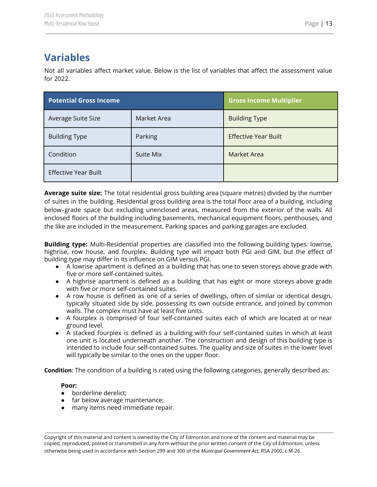# <span id="page-13-0"></span>**Variables**

Not all variables affect market value. Below is the list of variables that affect the assessment value for 2022.

| <b>Potential Gross Income</b> | <b>Gross Income Multiplier</b> |                             |  |
|-------------------------------|--------------------------------|-----------------------------|--|
| Average Suite Size            | Market Area                    | <b>Building Type</b>        |  |
| <b>Building Type</b>          | Parking                        | <b>Effective Year Built</b> |  |
| Condition                     | Suite Mix                      | Market Area                 |  |
| <b>Effective Year Built</b>   |                                |                             |  |

**Average suite size:** The total residential gross building area (square metres) divided by the number of suites in the building. Residential gross building area is the total floor area of a building, including below‐grade space but excluding unenclosed areas, measured from the exterior of the walls. All enclosed floors of the building including basements, mechanical equipment floors, penthouses, and the like are included in the measurement. Parking spaces and parking garages are excluded.

**Building type:** Multi-Residential properties are classified into the following building types: lowrise, highrise, row house, and fourplex. Building type will impact both PGI and GIM, but the effect of building type may differ in its influence on GIM versus PGI.

- A lowrise apartment is defined as a building that has one to seven storeys above grade with five or more self-contained suites.
- A highrise apartment is defined as a building that has eight or more storeys above grade with five or more self-contained suites.
- A row house is defined as one of a series of dwellings, often of similar or identical design, typically situated side by side, possessing its own outside entrance, and joined by common walls. The complex must have at least five units.
- A fourplex is comprised of four self-contained suites each of which are located at or near ground level.
- A stacked fourplex is defined as a building with four self-contained suites in which at least one unit is located underneath another. The construction and design of this building type is intended to include four self-contained suites. The quality and size of suites in the lower level will typically be similar to the ones on the upper floor.

**Condition**: The condition of a building is rated using the following categories, generally described as:

#### **Poor:**

- borderline derelict;
- far below average maintenance;
- many items need immediate repair.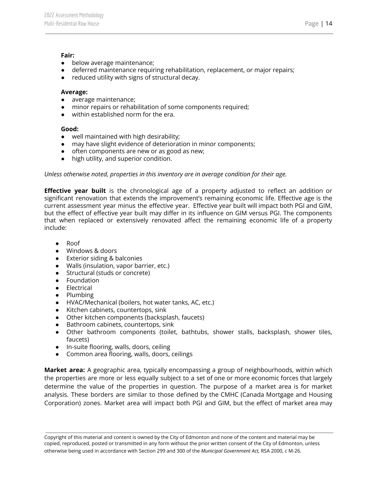#### **Fair:**

- below average maintenance;
- deferred maintenance requiring rehabilitation, replacement, or major repairs;
- reduced utility with signs of structural decay.

#### **Average:**

- average maintenance;
- minor repairs or rehabilitation of some components required;
- within established norm for the era.

#### **Good:**

- well maintained with high desirability;
- may have slight evidence of deterioration in minor components;
- often components are new or as good as new;
- high utility, and superior condition.

#### *Unless otherwise noted, properties in this inventory are in average condition for their age.*

**Effective year built** is the chronological age of a property adjusted to reflect an addition or significant renovation that extends the improvement's remaining economic life. Effective age is the current assessment year minus the effective year. Effective year built will impact both PGI and GIM, but the effect of effective year built may differ in its influence on GIM versus PGI. The components that when replaced or extensively renovated affect the remaining economic life of a property include:

- Roof
- Windows & doors
- Exterior siding & balconies
- Walls (insulation, vapor barrier, etc.)
- Structural (studs or concrete)
- Foundation
- Electrical
- Plumbing
- HVAC/Mechanical (boilers, hot water tanks, AC, etc.)
- Kitchen cabinets, countertops, sink
- Other kitchen components (backsplash, faucets)
- Bathroom cabinets, countertops, sink
- Other bathroom components (toilet, bathtubs, shower stalls, backsplash, shower tiles, faucets)
- In-suite flooring, walls, doors, ceiling
- Common area flooring, walls, doors, ceilings

**Market area:** A geographic area, typically encompassing a group of neighbourhoods, within which the properties are more or less equally subject to a set of one or more economic forces that largely determine the value of the properties in question. The purpose of a market area is for market analysis. These borders are similar to those defined by the CMHC (Canada Mortgage and Housing Corporation) zones. Market area will impact both PGI and GIM, but the effect of market area may

Copyright of this material and content is owned by the City of Edmonton and none of the content and material may be copied, reproduced, posted or transmitted in any form without the prior written consent of the City of Edmonton, unless otherwise being used in accordance with Section 299 and 300 of the *Municipal Government Act,* RSA 2000, c M-26.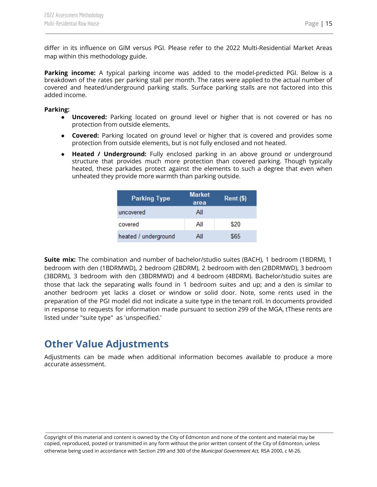differ in its influence on GIM versus PGI. Please refer to the 2022 Multi-Residential Market Areas map within this methodology guide.

**Parking income:** A typical parking income was added to the model-predicted PGI. Below is a breakdown of the rates per parking stall per month. The rates were applied to the actual number of covered and heated/underground parking stalls. Surface parking stalls are not factored into this added income.

#### **Parking:**

- **Uncovered:** Parking located on ground level or higher that is not covered or has no protection from outside elements.
- **Covered:** Parking located on ground level or higher that is covered and provides some protection from outside elements, but is not fully enclosed and not heated.
- **Heated / Underground:** Fully enclosed parking in an above ground or underground structure that provides much more protection than covered parking. Though typically heated, these parkades protect against the elements to such a degree that even when unheated they provide more warmth than parking outside.

| <b>Parking Type</b>  | <b>Market</b><br>area | $Rent$ (\$) |  |  |
|----------------------|-----------------------|-------------|--|--|
| uncovered            | All                   |             |  |  |
| covered              | All                   | \$20        |  |  |
| heated / underground | All                   | \$65        |  |  |

**Suite mix:** The combination and number of bachelor/studio suites (BACH), 1 bedroom (1BDRM), 1 bedroom with den (1BDRMWD), 2 bedroom (2BDRM), 2 bedroom with den (2BDRMWD), 3 bedroom (3BDRM), 3 bedroom with den (3BDRMWD) and 4 bedroom (4BDRM). Bachelor/studio suites are those that lack the separating walls found in 1 bedroom suites and up; and a den is similar to another bedroom yet lacks a closet or window or solid door. Note, some rents used in the preparation of the PGI model did not indicate a suite type in the tenant roll. In documents provided in response to requests for information made pursuant to section 299 of the MGA, tThese rents are listed under "suite type" as 'unspecified.'

## <span id="page-15-0"></span>**Other Value Adjustments**

Adjustments can be made when additional information becomes available to produce a more accurate assessment.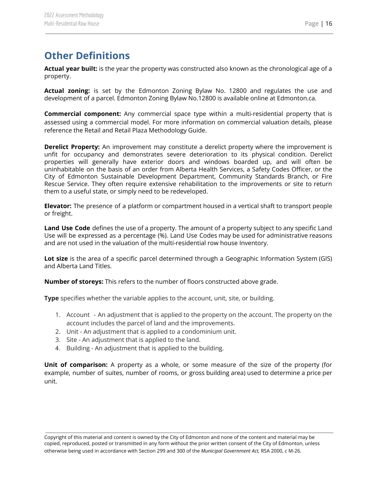# <span id="page-16-0"></span>**Other Definitions**

**Actual year built:** is the year the property was constructed also known as the chronological age of a property.

**Actual zoning:** is set by the Edmonton Zoning Bylaw No. 12800 and regulates the use and development of a parcel. Edmonton Zoning Bylaw No.12800 is available online at Edmonton.ca.

**Commercial component:** Any commercial space type within a multi-residential property that is assessed using a commercial model. For more information on commercial valuation details, please reference the Retail and Retail Plaza Methodology Guide.

**Derelict Property:** An improvement may constitute a derelict property where the improvement is unfit for occupancy and demonstrates severe deterioration to its physical condition. Derelict properties will generally have exterior doors and windows boarded up, and will often be uninhabitable on the basis of an order from Alberta Health Services, a Safety Codes Officer, or the City of Edmonton Sustainable Development Department, Community Standards Branch, or Fire Rescue Service. They often require extensive rehabilitation to the improvements or site to return them to a useful state, or simply need to be redeveloped.

**Elevator:** The presence of a platform or compartment housed in a vertical shaft to transport people or freight.

**Land Use Code** defines the use of a property. The amount of a property subject to any specific Land Use will be expressed as a percentage (%). Land Use Codes may be used for administrative reasons and are not used in the valuation of the multi-residential row house Inventory.

**Lot size** is the area of a specific parcel determined through a Geographic Information System (GIS) and Alberta Land Titles.

**Number of storeys:** This refers to the number of floors constructed above grade.

**Type** specifies whether the variable applies to the account, unit, site, or building.

- 1. Account An adjustment that is applied to the property on the account. The property on the account includes the parcel of land and the improvements.
- 2. Unit An adjustment that is applied to a condominium unit.
- 3. Site An adjustment that is applied to the land.
- 4. Building An adjustment that is applied to the building.

**Unit of comparison:** A property as a whole, or some measure of the size of the property (for example, number of suites, number of rooms, or gross building area) used to determine a price per unit.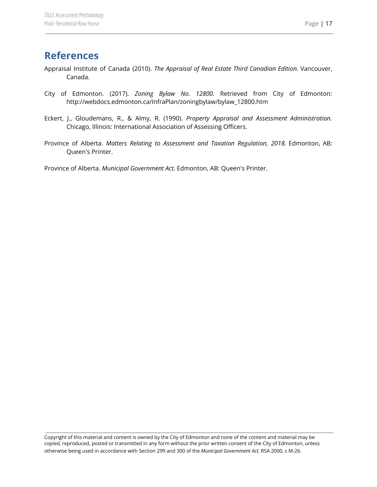## <span id="page-17-0"></span>**References**

- Appraisal Institute of Canada (2010). *The Appraisal of Real Estate Third Canadian Edition.* Vancouver, Canada.
- City of Edmonton. (2017). *Zoning Bylaw No. 12800.* Retrieved from City of Edmonton: http://webdocs.edmonton.ca/InfraPlan/zoningbylaw/bylaw\_12800.htm
- Eckert, J., Gloudemans, R., & Almy, R. (1990). *Property Appraisal and Assessment Administration.* Chicago, Illinois: International Association of Assessing Officers.
- Province of Alberta. *Matters Relating to Assessment and Taxation Regulation, 2018.* Edmonton, AB: Queen's Printer.

Province of Alberta. *Municipal Government Act.* Edmonton, AB: Queen's Printer.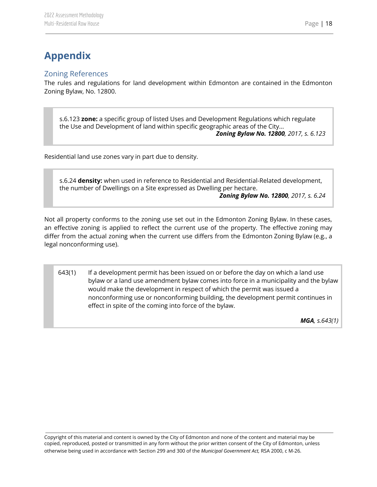# <span id="page-18-0"></span>**Appendix**

## <span id="page-18-1"></span>Zoning References

The rules and regulations for land development within Edmonton are contained in the Edmonton Zoning Bylaw, No. 12800.

s.6.123 **zone:** a specific group of listed Uses and Development Regulations which regulate the Use and Development of land within specific geographic areas of the City... *Zoning Bylaw No. 12800, 2017, s. 6.123*

Residential land use zones vary in part due to density.

s.6.24 **density:** when used in reference to Residential and Residential-Related development, the number of Dwellings on a Site expressed as Dwelling per hectare. *Zoning Bylaw No. 12800, 2017, s. 6.24*

Not all property conforms to the zoning use set out in the Edmonton Zoning Bylaw. In these cases, an effective zoning is applied to reflect the current use of the property. The effective zoning may differ from the actual zoning when the current use differs from the Edmonton Zoning Bylaw (e.g., a legal nonconforming use).

643(1) If a development permit has been issued on or before the day on which a land use bylaw or a land use amendment bylaw comes into force in a municipality and the bylaw would make the development in respect of which the permit was issued a nonconforming use or nonconforming building, the development permit continues in effect in spite of the coming into force of the bylaw.

*MGA, s.643(1)*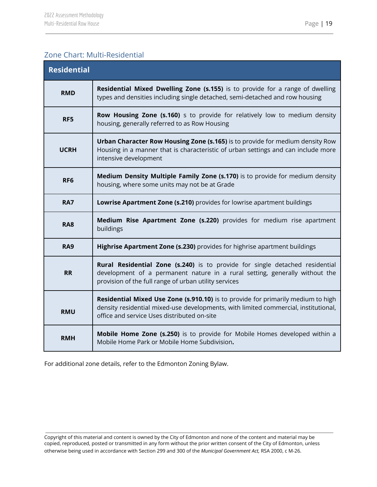## <span id="page-19-0"></span>Zone Chart: Multi-Residential

| <b>Residential</b> |                                                                                                                                                                                                                        |  |  |  |
|--------------------|------------------------------------------------------------------------------------------------------------------------------------------------------------------------------------------------------------------------|--|--|--|
| <b>RMD</b>         | Residential Mixed Dwelling Zone (s.155) is to provide for a range of dwelling<br>types and densities including single detached, semi-detached and row housing                                                          |  |  |  |
| RF5                | Row Housing Zone (s.160) s to provide for relatively low to medium density<br>housing, generally referred to as Row Housing                                                                                            |  |  |  |
| <b>UCRH</b>        | Urban Character Row Housing Zone (s.165) is to provide for medium density Row<br>Housing in a manner that is characteristic of urban settings and can include more<br>intensive development                            |  |  |  |
| RF <sub>6</sub>    | Medium Density Multiple Family Zone (s.170) is to provide for medium density<br>housing, where some units may not be at Grade                                                                                          |  |  |  |
| <b>RA7</b>         | Lowrise Apartment Zone (s.210) provides for lowrise apartment buildings                                                                                                                                                |  |  |  |
| <b>RA8</b>         | Medium Rise Apartment Zone (s.220) provides for medium rise apartment<br>buildings                                                                                                                                     |  |  |  |
| <b>RA9</b>         | Highrise Apartment Zone (s.230) provides for highrise apartment buildings                                                                                                                                              |  |  |  |
| <b>RR</b>          | Rural Residential Zone (s.240) is to provide for single detached residential<br>development of a permanent nature in a rural setting, generally without the<br>provision of the full range of urban utility services   |  |  |  |
| <b>RMU</b>         | Residential Mixed Use Zone (s.910.10) is to provide for primarily medium to high<br>density residential mixed-use developments, with limited commercial, institutional,<br>office and service Uses distributed on-site |  |  |  |
| <b>RMH</b>         | Mobile Home Zone (s.250) is to provide for Mobile Homes developed within a<br>Mobile Home Park or Mobile Home Subdivision.                                                                                             |  |  |  |

For additional zone details, refer to the Edmonton Zoning Bylaw.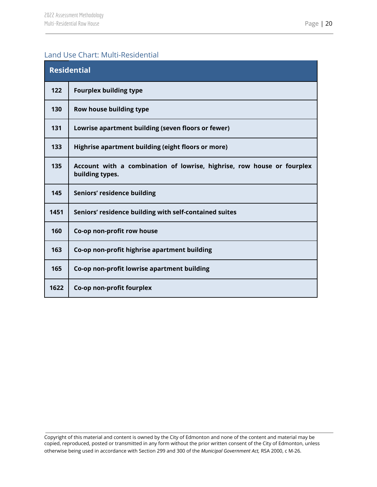## <span id="page-20-0"></span>Land Use Chart: Multi-Residential

| <b>Residential</b> |                                                                                           |  |  |
|--------------------|-------------------------------------------------------------------------------------------|--|--|
| 122                | <b>Fourplex building type</b>                                                             |  |  |
| 130                | Row house building type                                                                   |  |  |
| 131                | Lowrise apartment building (seven floors or fewer)                                        |  |  |
| 133                | Highrise apartment building (eight floors or more)                                        |  |  |
| 135                | Account with a combination of lowrise, highrise, row house or fourplex<br>building types. |  |  |
| 145                | Seniors' residence building                                                               |  |  |
| 1451               | Seniors' residence building with self-contained suites                                    |  |  |
| 160                | Co-op non-profit row house                                                                |  |  |
| 163                | Co-op non-profit highrise apartment building                                              |  |  |
| 165                | Co-op non-profit lowrise apartment building                                               |  |  |
| 1622               | Co-op non-profit fourplex                                                                 |  |  |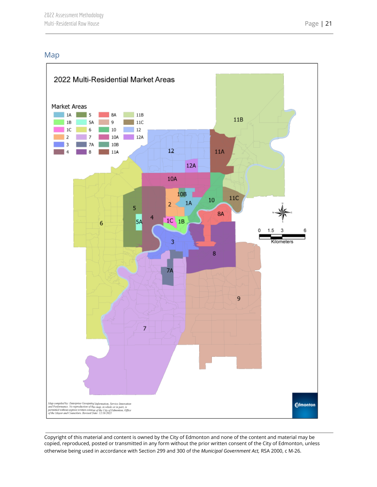## <span id="page-21-0"></span>Map